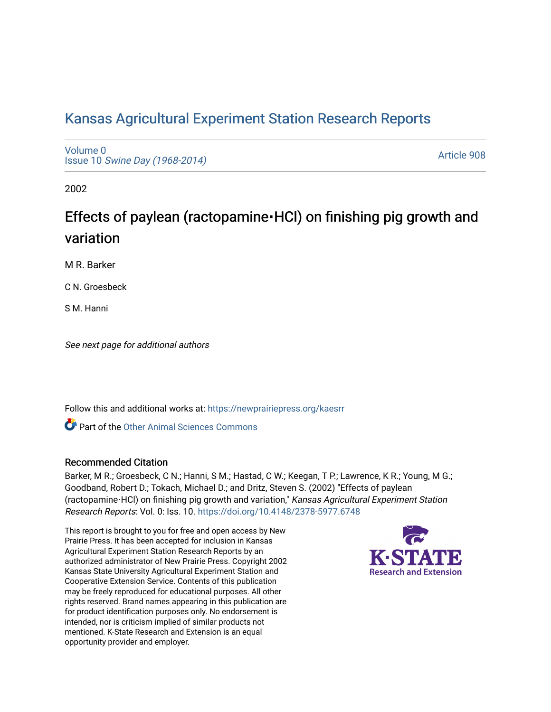## [Kansas Agricultural Experiment Station Research Reports](https://newprairiepress.org/kaesrr)

[Volume 0](https://newprairiepress.org/kaesrr/vol0) Issue 10 [Swine Day \(1968-2014\)](https://newprairiepress.org/kaesrr/vol0/iss10)

[Article 908](https://newprairiepress.org/kaesrr/vol0/iss10/908) 

2002

# Effects of paylean (ractopamine **·HCl)** on finishing pig growth and variation

M R. Barker

C N. Groesbeck

S M. Hanni

See next page for additional authors

Follow this and additional works at: [https://newprairiepress.org/kaesrr](https://newprairiepress.org/kaesrr?utm_source=newprairiepress.org%2Fkaesrr%2Fvol0%2Fiss10%2F908&utm_medium=PDF&utm_campaign=PDFCoverPages) 

Part of the [Other Animal Sciences Commons](http://network.bepress.com/hgg/discipline/82?utm_source=newprairiepress.org%2Fkaesrr%2Fvol0%2Fiss10%2F908&utm_medium=PDF&utm_campaign=PDFCoverPages)

#### Recommended Citation

Barker, M R.; Groesbeck, C N.; Hanni, S M.; Hastad, C W.; Keegan, T P.; Lawrence, K R.; Young, M G.; Goodband, Robert D.; Tokach, Michael D.; and Dritz, Steven S. (2002) "Effects of paylean (ractopamine⋅HCl) on finishing pig growth and variation," Kansas Agricultural Experiment Station Research Reports: Vol. 0: Iss. 10. <https://doi.org/10.4148/2378-5977.6748>

This report is brought to you for free and open access by New Prairie Press. It has been accepted for inclusion in Kansas Agricultural Experiment Station Research Reports by an authorized administrator of New Prairie Press. Copyright 2002 Kansas State University Agricultural Experiment Station and Cooperative Extension Service. Contents of this publication may be freely reproduced for educational purposes. All other rights reserved. Brand names appearing in this publication are for product identification purposes only. No endorsement is intended, nor is criticism implied of similar products not mentioned. K-State Research and Extension is an equal opportunity provider and employer.

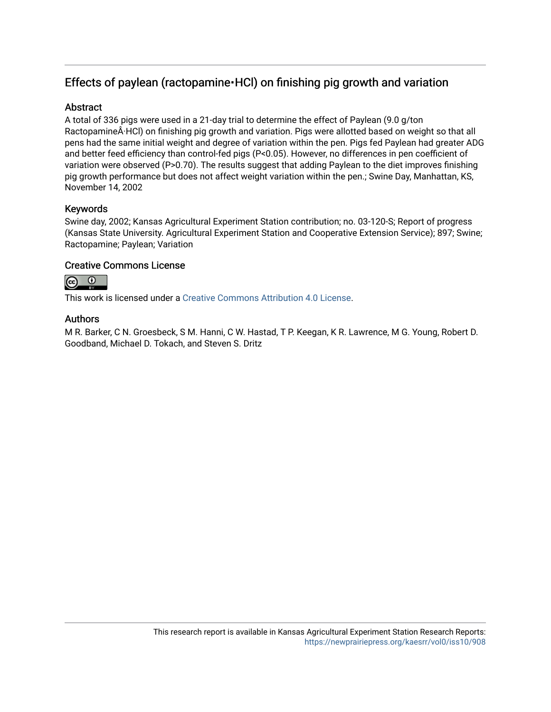### Effects of paylean (ractopamine · HCl) on finishing pig growth and variation

#### **Abstract**

A total of 336 pigs were used in a 21-day trial to determine the effect of Paylean (9.0 g/ton Ractopamine·HCl) on finishing pig growth and variation. Pigs were allotted based on weight so that all pens had the same initial weight and degree of variation within the pen. Pigs fed Paylean had greater ADG and better feed efficiency than control-fed pigs (P<0.05). However, no differences in pen coefficient of variation were observed (P>0.70). The results suggest that adding Paylean to the diet improves finishing pig growth performance but does not affect weight variation within the pen.; Swine Day, Manhattan, KS, November 14, 2002

#### Keywords

Swine day, 2002; Kansas Agricultural Experiment Station contribution; no. 03-120-S; Report of progress (Kansas State University. Agricultural Experiment Station and Cooperative Extension Service); 897; Swine; Ractopamine; Paylean; Variation

#### Creative Commons License



This work is licensed under a [Creative Commons Attribution 4.0 License](https://creativecommons.org/licenses/by/4.0/).

#### Authors

M R. Barker, C N. Groesbeck, S M. Hanni, C W. Hastad, T P. Keegan, K R. Lawrence, M G. Young, Robert D. Goodband, Michael D. Tokach, and Steven S. Dritz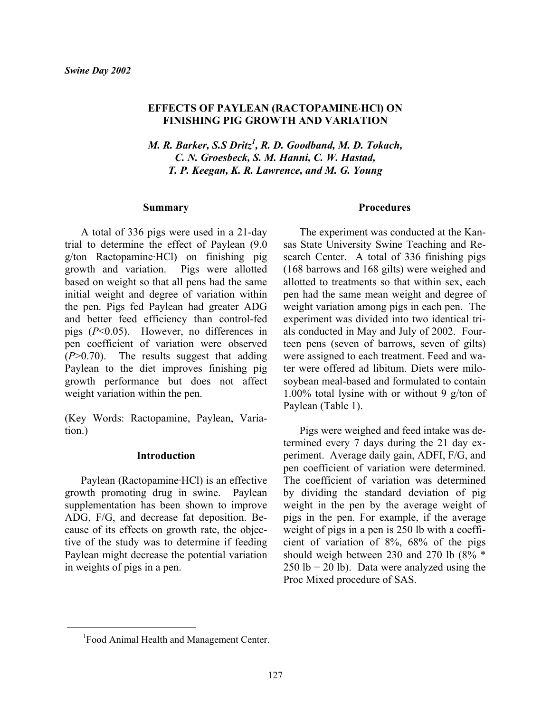#### **EFFECTS OF PAYLEAN (RACTOPAMINE**⋅**HCl) ON FINISHING PIG GROWTH AND VARIATION**

*M. R. Barker, S.S Dritz<sup>1</sup> , R. D. Goodband, M. D. Tokach, C. N. Groesbeck, S. M. Hanni, C. W. Hastad, T. P. Keegan, K. R. Lawrence, and M. G. Young*

#### **Summary**

A total of 336 pigs were used in a 21-day trial to determine the effect of Paylean (9.0 g/ton Ractopamine·HCl) on finishing pig growth and variation. Pigs were allotted based on weight so that all pens had the same initial weight and degree of variation within the pen. Pigs fed Paylean had greater ADG and better feed efficiency than control-fed pigs (*P*<0.05). However, no differences in pen coefficient of variation were observed (*P*>0.70). The results suggest that adding Paylean to the diet improves finishing pig growth performance but does not affect weight variation within the pen.

(Key Words: Ractopamine, Paylean, Variation.)

#### **Introduction**

Paylean (Ractopamine·HCl) is an effective growth promoting drug in swine. Paylean supplementation has been shown to improve ADG, F/G, and decrease fat deposition. Because of its effects on growth rate, the objective of the study was to determine if feeding Paylean might decrease the potential variation in weights of pigs in a pen.

#### **Procedures**

The experiment was conducted at the Kansas State University Swine Teaching and Research Center. A total of 336 finishing pigs (168 barrows and 168 gilts) were weighed and allotted to treatments so that within sex, each pen had the same mean weight and degree of weight variation among pigs in each pen. The experiment was divided into two identical trials conducted in May and July of 2002. Fourteen pens (seven of barrows, seven of gilts) were assigned to each treatment. Feed and water were offered ad libitum. Diets were milosoybean meal-based and formulated to contain 1.00% total lysine with or without 9 g/ton of Paylean (Table 1).

Pigs were weighed and feed intake was determined every 7 days during the 21 day experiment. Average daily gain, ADFI, F/G, and pen coefficient of variation were determined. The coefficient of variation was determined by dividing the standard deviation of pig weight in the pen by the average weight of pigs in the pen. For example, if the average weight of pigs in a pen is 250 lb with a coefficient of variation of 8%, 68% of the pigs should weigh between 230 and 270 lb (8% \*  $250$  lb = 20 lb). Data were analyzed using the Proc Mixed procedure of SAS.

l

<sup>&</sup>lt;sup>1</sup>Food Animal Health and Management Center.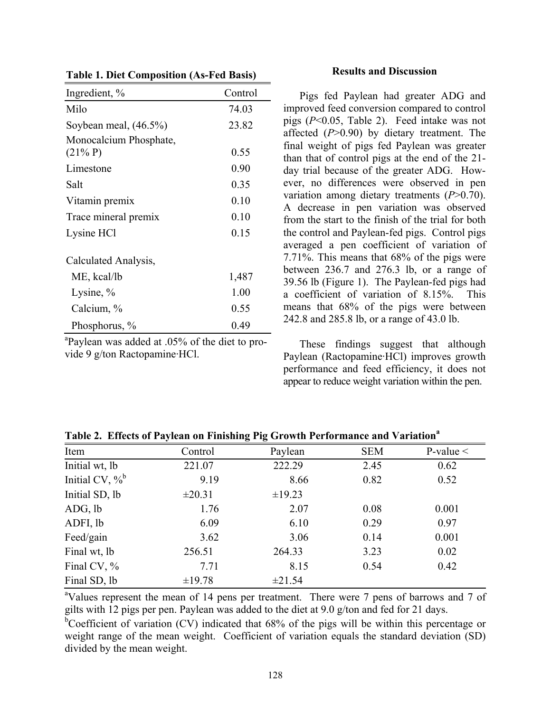| Ingredient, %            | Control |
|--------------------------|---------|
| Milo                     | 74.03   |
| Soybean meal, $(46.5\%)$ | 23.82   |
| Monocalcium Phosphate,   |         |
| $(21\% P)$               | 0.55    |
| Limestone                | 0.90    |
| Salt                     | 0.35    |
| Vitamin premix           | 0.10    |
| Trace mineral premix     | 0.10    |
| Lysine HCl               | 0.15    |
| Calculated Analysis,     |         |
| ME, kcal/lb              | 1,487   |
| Lysine, $\%$             | 1.00    |
| Calcium, %               | 0.55    |
| Phosphorus, %            | 0.49    |

**Table 1. Diet Composition (As-Fed Basis)** 

<sup>a</sup>Paylean was added at .05% of the diet to provide 9 g/ton Ractopamine·HCl.

#### **Results and Discussion**

Pigs fed Paylean had greater ADG and improved feed conversion compared to control pigs (*P*<0.05, Table 2). Feed intake was not affected (*P*>0.90) by dietary treatment. The final weight of pigs fed Paylean was greater than that of control pigs at the end of the 21 day trial because of the greater ADG. However, no differences were observed in pen variation among dietary treatments (*P*>0.70). A decrease in pen variation was observed from the start to the finish of the trial for both the control and Paylean-fed pigs. Control pigs averaged a pen coefficient of variation of 7.71%. This means that 68% of the pigs were between 236.7 and 276.3 lb, or a range of 39.56 lb (Figure 1). The Paylean-fed pigs had a coefficient of variation of 8.15%. This means that 68% of the pigs were between 242.8 and 285.8 lb, or a range of 43.0 lb.

These findings suggest that although Paylean (Ractopamine·HCl) improves growth performance and feed efficiency, it does not appear to reduce weight variation within the pen.

| 0<br>-             |             |             |            |                |
|--------------------|-------------|-------------|------------|----------------|
| Item               | Control     | Paylean     | <b>SEM</b> | P-value $\leq$ |
| Initial wt, lb     | 221.07      | 222.29      | 2.45       | 0.62           |
| Initial CV, $\%^b$ | 9.19        | 8.66        | 0.82       | 0.52           |
| Initial SD, lb     | $\pm 20.31$ | $\pm$ 19.23 |            |                |
| ADG, lb            | 1.76        | 2.07        | 0.08       | 0.001          |
| ADFI, lb           | 6.09        | 6.10        | 0.29       | 0.97           |
| Feed/gain          | 3.62        | 3.06        | 0.14       | 0.001          |
| Final wt, lb       | 256.51      | 264.33      | 3.23       | 0.02           |
| Final CV, %        | 7.71        | 8.15        | 0.54       | 0.42           |
| Final SD, lb       | ±19.78      | ±21.54      |            |                |

Table 2. Effects of Paylean on Finishing Pig Growth Performance and Variation<sup>a</sup>

<sup>a</sup>Values represent the mean of 14 pens per treatment. There were 7 pens of barrows and 7 of gilts with 12 pigs per pen. Paylean was added to the diet at 9.0 g/ton and fed for 21 days.

<sup>b</sup>Coefficient of variation (CV) indicated that 68% of the pigs will be within this percentage or weight range of the mean weight. Coefficient of variation equals the standard deviation (SD) divided by the mean weight.